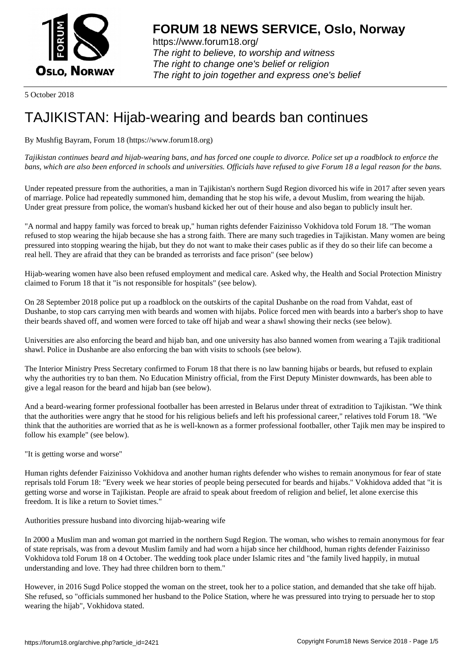

https://www.forum18.org/ The right to believe, to worship and witness The right to change one's belief or religion [The right to join together a](https://www.forum18.org/)nd express one's belief

5 October 2018

## [TAJIKISTAN: H](https://www.forum18.org)ijab-wearing and beards ban continues

By Mushfig Bayram, Forum 18 (https://www.forum18.org)

*Tajikistan continues beard and hijab-wearing bans, and has forced one couple to divorce. Police set up a roadblock to enforce the bans, which are also been enforced in schools and universities. Officials have refused to give Forum 18 a legal reason for the bans.*

Under repeated pressure from the authorities, a man in Tajikistan's northern Sugd Region divorced his wife in 2017 after seven years of marriage. Police had repeatedly summoned him, demanding that he stop his wife, a devout Muslim, from wearing the hijab. Under great pressure from police, the woman's husband kicked her out of their house and also began to publicly insult her.

"A normal and happy family was forced to break up," human rights defender Faizinisso Vokhidova told Forum 18. "The woman refused to stop wearing the hijab because she has a strong faith. There are many such tragedies in Tajikistan. Many women are being pressured into stopping wearing the hijab, but they do not want to make their cases public as if they do so their life can become a real hell. They are afraid that they can be branded as terrorists and face prison" (see below)

Hijab-wearing women have also been refused employment and medical care. Asked why, the Health and Social Protection Ministry claimed to Forum 18 that it "is not responsible for hospitals" (see below).

On 28 September 2018 police put up a roadblock on the outskirts of the capital Dushanbe on the road from Vahdat, east of Dushanbe, to stop cars carrying men with beards and women with hijabs. Police forced men with beards into a barber's shop to have their beards shaved off, and women were forced to take off hijab and wear a shawl showing their necks (see below).

Universities are also enforcing the beard and hijab ban, and one university has also banned women from wearing a Tajik traditional shawl. Police in Dushanbe are also enforcing the ban with visits to schools (see below).

The Interior Ministry Press Secretary confirmed to Forum 18 that there is no law banning hijabs or beards, but refused to explain why the authorities try to ban them. No Education Ministry official, from the First Deputy Minister downwards, has been able to give a legal reason for the beard and hijab ban (see below).

And a beard-wearing former professional footballer has been arrested in Belarus under threat of extradition to Tajikistan. "We think that the authorities were angry that he stood for his religious beliefs and left his professional career," relatives told Forum 18. "We think that the authorities are worried that as he is well-known as a former professional footballer, other Tajik men may be inspired to follow his example" (see below).

"It is getting worse and worse"

Human rights defender Faizinisso Vokhidova and another human rights defender who wishes to remain anonymous for fear of state reprisals told Forum 18: "Every week we hear stories of people being persecuted for beards and hijabs." Vokhidova added that "it is getting worse and worse in Tajikistan. People are afraid to speak about freedom of religion and belief, let alone exercise this freedom. It is like a return to Soviet times."

Authorities pressure husband into divorcing hijab-wearing wife

In 2000 a Muslim man and woman got married in the northern Sugd Region. The woman, who wishes to remain anonymous for fear of state reprisals, was from a devout Muslim family and had worn a hijab since her childhood, human rights defender Faizinisso Vokhidova told Forum 18 on 4 October. The wedding took place under Islamic rites and "the family lived happily, in mutual understanding and love. They had three children born to them."

However, in 2016 Sugd Police stopped the woman on the street, took her to a police station, and demanded that she take off hijab. She refused, so "officials summoned her husband to the Police Station, where he was pressured into trying to persuade her to stop wearing the hijab", Vokhidova stated.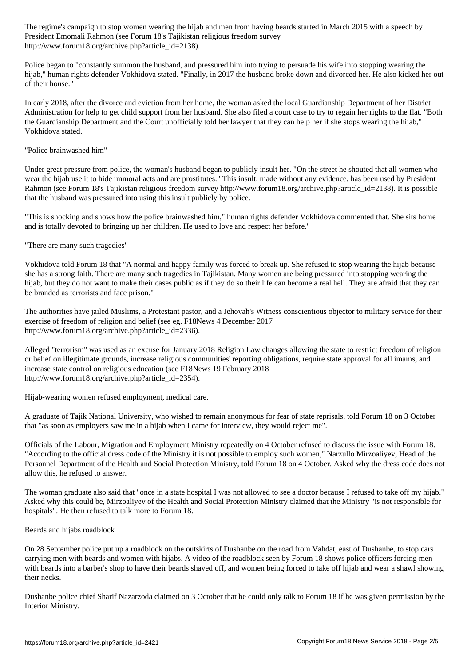President Emomali Rahmon (see Forum 18's Tajikistan religious freedom survey http://www.forum18.org/archive.php?article\_id=2138).

Police began to "constantly summon the husband, and pressured him into trying to persuade his wife into stopping wearing the hijab," human rights defender Vokhidova stated. "Finally, in 2017 the husband broke down and divorced her. He also kicked her out of their house."

In early 2018, after the divorce and eviction from her home, the woman asked the local Guardianship Department of her District Administration for help to get child support from her husband. She also filed a court case to try to regain her rights to the flat. "Both the Guardianship Department and the Court unofficially told her lawyer that they can help her if she stops wearing the hijab," Vokhidova stated.

"Police brainwashed him"

Under great pressure from police, the woman's husband began to publicly insult her. "On the street he shouted that all women who wear the hijab use it to hide immoral acts and are prostitutes." This insult, made without any evidence, has been used by President Rahmon (see Forum 18's Tajikistan religious freedom survey http://www.forum18.org/archive.php?article\_id=2138). It is possible that the husband was pressured into using this insult publicly by police.

"This is shocking and shows how the police brainwashed him," human rights defender Vokhidova commented that. She sits home and is totally devoted to bringing up her children. He used to love and respect her before."

"There are many such tragedies"

Vokhidova told Forum 18 that "A normal and happy family was forced to break up. She refused to stop wearing the hijab because she has a strong faith. There are many such tragedies in Tajikistan. Many women are being pressured into stopping wearing the hijab, but they do not want to make their cases public as if they do so their life can become a real hell. They are afraid that they can be branded as terrorists and face prison."

The authorities have jailed Muslims, a Protestant pastor, and a Jehovah's Witness conscientious objector to military service for their exercise of freedom of religion and belief (see eg. F18News 4 December 2017 http://www.forum18.org/archive.php?article\_id=2336).

Alleged "terrorism" was used as an excuse for January 2018 Religion Law changes allowing the state to restrict freedom of religion or belief on illegitimate grounds, increase religious communities' reporting obligations, require state approval for all imams, and increase state control on religious education (see F18News 19 February 2018 http://www.forum18.org/archive.php?article\_id=2354).

Hijab-wearing women refused employment, medical care.

A graduate of Tajik National University, who wished to remain anonymous for fear of state reprisals, told Forum 18 on 3 October that "as soon as employers saw me in a hijab when I came for interview, they would reject me".

Officials of the Labour, Migration and Employment Ministry repeatedly on 4 October refused to discuss the issue with Forum 18. "According to the official dress code of the Ministry it is not possible to employ such women," Narzullo Mirzoaliyev, Head of the Personnel Department of the Health and Social Protection Ministry, told Forum 18 on 4 October. Asked why the dress code does not allow this, he refused to answer.

The woman graduate also said that "once in a state hospital I was not allowed to see a doctor because I refused to take off my hijab." Asked why this could be, Mirzoaliyev of the Health and Social Protection Ministry claimed that the Ministry "is not responsible for hospitals". He then refused to talk more to Forum 18.

Beards and hijabs roadblock

On 28 September police put up a roadblock on the outskirts of Dushanbe on the road from Vahdat, east of Dushanbe, to stop cars carrying men with beards and women with hijabs. A video of the roadblock seen by Forum 18 shows police officers forcing men with beards into a barber's shop to have their beards shaved off, and women being forced to take off hijab and wear a shawl showing their necks.

Dushanbe police chief Sharif Nazarzoda claimed on 3 October that he could only talk to Forum 18 if he was given permission by the Interior Ministry.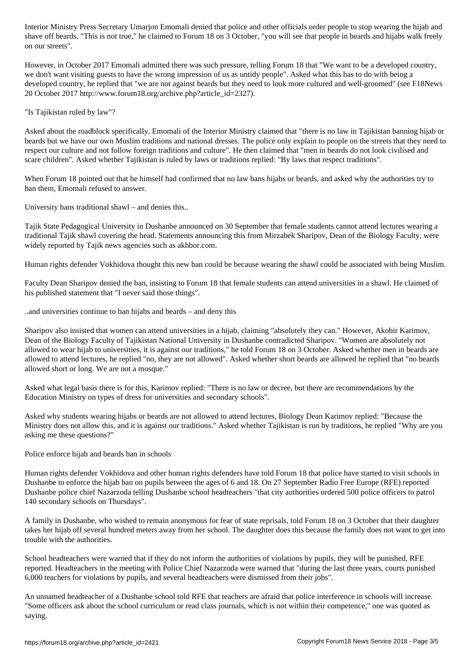shave off beards. "This is not true," he claimed to Forum 18 on 3 October, "you will see that people in beards and hijabs walk freely on our streets".

However, in October 2017 Emomali admitted there was such pressure, telling Forum 18 that "We want to be a developed country, we don't want visiting guests to have the wrong impression of us as untidy people". Asked what this has to do with being a developed country, he replied that "we are not against beards but they need to look more cultured and well-groomed" (see F18News 20 October 2017 http://www.forum18.org/archive.php?article\_id=2327).

"Is Tajikistan ruled by law"?

Asked about the roadblock specifically, Emomali of the Interior Ministry claimed that "there is no law in Tajikistan banning hijab or beards but we have our own Muslim traditions and national dresses. The police only explain to people on the streets that they need to respect our culture and not follow foreign traditions and culture". He then claimed that "men in beards do not look civilised and scare children". Asked whether Tajikistan is ruled by laws or traditions replied: "By laws that respect traditions".

When Forum 18 pointed out that he himself had confirmed that no law bans hijabs or beards, and asked why the authorities try to ban them, Emomali refused to answer.

University bans traditional shawl – and denies this..

Tajik State Pedagogical University in Dushanbe announced on 30 September that female students cannot attend lectures wearing a traditional Tajik shawl covering the head. Statements announcing this from Mirzabek Sharipov, Dean of the Biology Faculty, were widely reported by Tajik news agencies such as akhbor.com.

Human rights defender Vokhidova thought this new ban could be because wearing the shawl could be associated with being Muslim.

Faculty Dean Sharipov denied the ban, insisting to Forum 18 that female students can attend universities in a shawl. He claimed of his published statement that "I never said those things".

..and universities continue to ban hijabs and beards – and deny this

Sharipov also insisted that women can attend universities in a hijab, claiming "absolutely they can." However, Akobir Karimov, Dean of the Biology Faculty of Tajikistan National University in Dushanbe contradicted Sharipov. "Women are absolutely not allowed to wear hijab to universities, it is against our traditions," he told Forum 18 on 3 October. Asked whether men in beards are allowed to attend lectures, he replied "no, they are not allowed". Asked whether short beards are allowed he replied that "no beards allowed short or long. We are not a mosque."

Asked what legal basis there is for this, Karimov replied: "There is no law or decree, but there are recommendations by the Education Ministry on types of dress for universities and secondary schools".

Asked why students wearing hijabs or beards are not allowed to attend lectures, Biology Dean Karimov replied: "Because the Ministry does not allow this, and it is against our traditions." Asked whether Tajikistan is run by traditions, he replied "Why are you asking me these questions?"

Police enforce hijab and beards ban in schools

Human rights defender Vokhidova and other human rights defenders have told Forum 18 that police have started to visit schools in Dushanbe to enforce the hijab ban on pupils between the ages of 6 and 18. On 27 September Radio Free Europe (RFE) reported Dushanbe police chief Nazarzoda telling Dushanbe school headteachers "that city authorities ordered 500 police officers to patrol 140 secondary schools on Thursdays".

A family in Dushanbe, who wished to remain anonymous for fear of state reprisals, told Forum 18 on 3 October that their daughter takes her hijab off several hundred meters away from her school. The daughter does this because the family does not want to get into trouble with the authorities.

School headteachers were warned that if they do not inform the authorities of violations by pupils, they will be punished, RFE reported. Headteachers in the meeting with Police Chief Nazarzoda were warned that "during the last three years, courts punished 6,000 teachers for violations by pupils, and several headteachers were dismissed from their jobs".

An unnamed headteacher of a Dushanbe school told RFE that teachers are afraid that police interference in schools will increase. "Some officers ask about the school curriculum or read class journals, which is not within their competence," one was quoted as saying.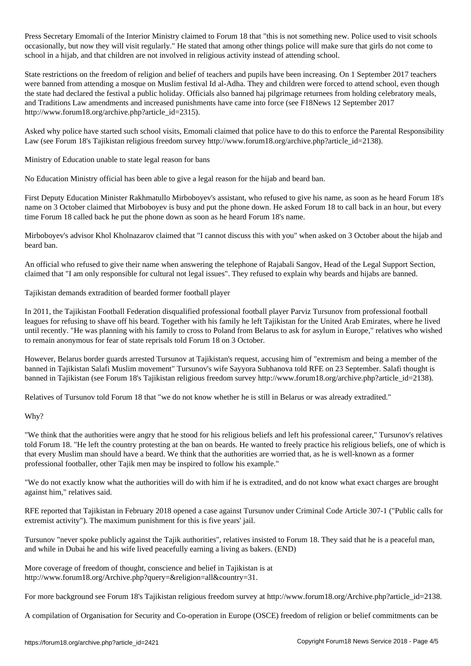Press Secretary Emomali of the Interior Ministry claimed to Forum 18 that "this is not something new. Police used to visit schools occasionally, but now they will visit regularly." He stated that among other things police will make sure that girls do not come to school in a hijab, and that children are not involved in religious activity instead of attending school.

State restrictions on the freedom of religion and belief of teachers and pupils have been increasing. On 1 September 2017 teachers were banned from attending a mosque on Muslim festival Id al-Adha. They and children were forced to attend school, even though the state had declared the festival a public holiday. Officials also banned haj pilgrimage returnees from holding celebratory meals, and Traditions Law amendments and increased punishments have came into force (see F18News 12 September 2017 http://www.forum18.org/archive.php?article\_id=2315).

Asked why police have started such school visits, Emomali claimed that police have to do this to enforce the Parental Responsibility Law (see Forum 18's Tajikistan religious freedom survey http://www.forum18.org/archive.php?article\_id=2138).

Ministry of Education unable to state legal reason for bans

No Education Ministry official has been able to give a legal reason for the hijab and beard ban.

First Deputy Education Minister Rakhmatullo Mirboboyev's assistant, who refused to give his name, as soon as he heard Forum 18's name on 3 October claimed that Mirboboyev is busy and put the phone down. He asked Forum 18 to call back in an hour, but every time Forum 18 called back he put the phone down as soon as he heard Forum 18's name.

Mirboboyev's advisor Khol Kholnazarov claimed that "I cannot discuss this with you" when asked on 3 October about the hijab and beard ban.

An official who refused to give their name when answering the telephone of Rajabali Sangov, Head of the Legal Support Section, claimed that "I am only responsible for cultural not legal issues". They refused to explain why beards and hijabs are banned.

Tajikistan demands extradition of bearded former football player

In 2011, the Tajikistan Football Federation disqualified professional football player Parviz Tursunov from professional football leagues for refusing to shave off his beard. Together with his family he left Tajikistan for the United Arab Emirates, where he lived until recently. "He was planning with his family to cross to Poland from Belarus to ask for asylum in Europe," relatives who wished to remain anonymous for fear of state reprisals told Forum 18 on 3 October.

However, Belarus border guards arrested Tursunov at Tajikistan's request, accusing him of "extremism and being a member of the banned in Tajikistan Salafi Muslim movement" Tursunov's wife Sayyora Subhanova told RFE on 23 September. Salafi thought is banned in Tajikistan (see Forum 18's Tajikistan religious freedom survey http://www.forum18.org/archive.php?article\_id=2138).

Relatives of Tursunov told Forum 18 that "we do not know whether he is still in Belarus or was already extradited."

## Why?

"We think that the authorities were angry that he stood for his religious beliefs and left his professional career," Tursunov's relatives told Forum 18. "He left the country protesting at the ban on beards. He wanted to freely practice his religious beliefs, one of which is that every Muslim man should have a beard. We think that the authorities are worried that, as he is well-known as a former professional footballer, other Tajik men may be inspired to follow his example."

"We do not exactly know what the authorities will do with him if he is extradited, and do not know what exact charges are brought against him," relatives said.

RFE reported that Tajikistan in February 2018 opened a case against Tursunov under Criminal Code Article 307-1 ("Public calls for extremist activity"). The maximum punishment for this is five years' jail.

Tursunov "never spoke publicly against the Tajik authorities", relatives insisted to Forum 18. They said that he is a peaceful man, and while in Dubai he and his wife lived peacefully earning a living as bakers. (END)

More coverage of freedom of thought, conscience and belief in Tajikistan is at http://www.forum18.org/Archive.php?query=&religion=all&country=31.

For more background see Forum 18's Tajikistan religious freedom survey at http://www.forum18.org/Archive.php?article\_id=2138.

A compilation of Organisation for Security and Co-operation in Europe (OSCE) freedom of religion or belief commitments can be